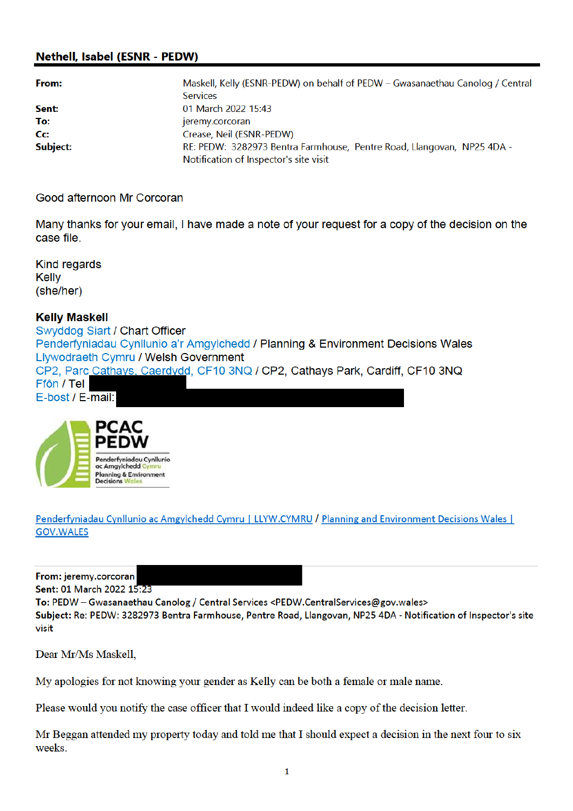# **Nethell, Isabel (ESNR - PEDW)**

| From:    | Maskell, Kelly (ESNR-PEDW) on behalf of PEDW – Gwasanaethau Canolog / Central |  |
|----------|-------------------------------------------------------------------------------|--|
|          | <b>Services</b>                                                               |  |
| Sent:    | 01 March 2022 15:43                                                           |  |
| To:      | jeremy.corcoran                                                               |  |
| Cc:      | Crease, Neil (ESNR-PEDW)                                                      |  |
| Subject: | RE: PEDW: 3282973 Bentra Farmhouse, Pentre Road, Llangovan, NP25 4DA -        |  |
|          | Notification of Inspector's site visit                                        |  |

Good afternoon Mr Corcoran

Many thanks for your email, I have made a note of your request for a copy of the decision on the case file.

**Kind regards Kelly** (she/her)

#### **Kelly Maskell**

Swyddog Siart / Chart Officer Penderfyniadau Cynllunio a'r Amgylchedd / Planning & Environment Decisions Wales Llywodraeth Cymru / Welsh Government CP2, Parc Cathays, Caerdydd, CF10 3NQ / CP2, Cathays Park, Cardiff, CF10 3NQ Ffôn / Tel E-bost / E-mail:



Penderfyniadau Cynllunio ac Amgylchedd Cymru | LLYW.CYMRU / Planning and Environment Decisions Wales | **GOV.WALES** 

From: jeremy.corcoran

Sent: 01 March 2022 15:23

To: PEDW - Gwasanaethau Canolog / Central Services <PEDW.CentralServices@gov.wales>

Subject: Re: PEDW: 3282973 Bentra Farmhouse, Pentre Road, Llangovan, NP25 4DA - Notification of Inspector's site visit

Dear Mr/Ms Maskell.

My apologies for not knowing your gender as Kelly can be both a female or male name.

Please would you notify the case officer that I would indeed like a copy of the decision letter.

Mr Beggan attended my property today and told me that I should expect a decision in the next four to six weeks.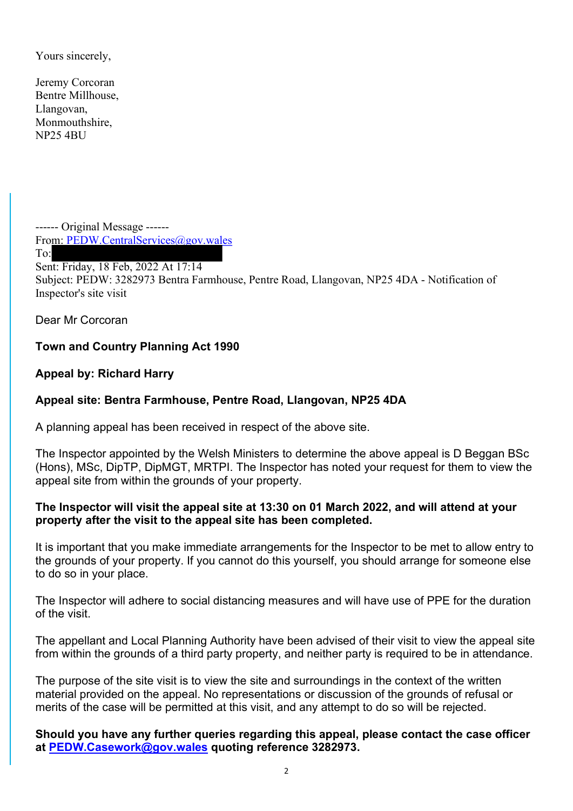Yours sincerely,

Jeremy Corcoran Bentre Millhouse, Llangovan, Monmouthshire, NP25 4BU

------ Original Message ------ From: PEDW.CentralServices@gov.wales To: Sent: Friday, 18 Feb, 2022 At 17:14 Subject: PEDW: 3282973 Bentra Farmhouse, Pentre Road, Llangovan, NP25 4DA - Notification of Inspector's site visit

Dear Mr Corcoran

## Town and Country Planning Act 1990

Appeal by: Richard Harry

## Appeal site: Bentra Farmhouse, Pentre Road, Llangovan, NP25 4DA

A planning appeal has been received in respect of the above site.

The Inspector appointed by the Welsh Ministers to determine the above appeal is D Beggan BSc (Hons), MSc, DipTP, DipMGT, MRTPI. The Inspector has noted your request for them to view the appeal site from within the grounds of your property.

#### The Inspector will visit the appeal site at 13:30 on 01 March 2022, and will attend at your property after the visit to the appeal site has been completed.

It is important that you make immediate arrangements for the Inspector to be met to allow entry to the grounds of your property. If you cannot do this yourself, you should arrange for someone else to do so in your place.

The Inspector will adhere to social distancing measures and will have use of PPE for the duration of the visit.

The appellant and Local Planning Authority have been advised of their visit to view the appeal site from within the grounds of a third party property, and neither party is required to be in attendance.

The purpose of the site visit is to view the site and surroundings in the context of the written material provided on the appeal. No representations or discussion of the grounds of refusal or merits of the case will be permitted at this visit, and any attempt to do so will be rejected.

Should you have any further queries regarding this appeal, please contact the case officer at PEDW.Casework@gov.wales quoting reference 3282973.